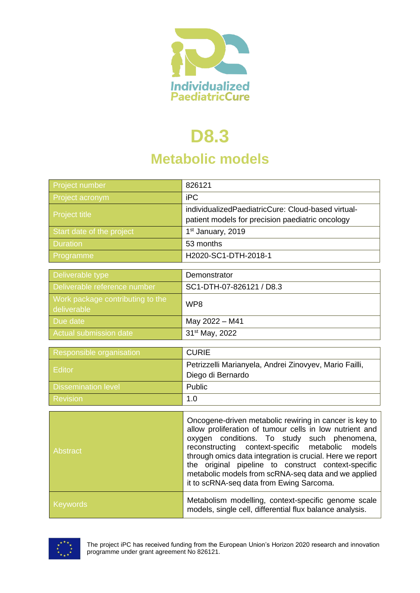

# **D8.3**

## **Metabolic models**

| Project number                                  | 826121                                                                                                 |
|-------------------------------------------------|--------------------------------------------------------------------------------------------------------|
| Project acronym                                 | iPC                                                                                                    |
| <b>Project title</b>                            | individualizedPaediatricCure: Cloud-based virtual-<br>patient models for precision paediatric oncology |
| Start date of the project                       | 1 <sup>st</sup> January, 2019                                                                          |
| <b>Duration</b>                                 | 53 months                                                                                              |
| Programme                                       | H2020-SC1-DTH-2018-1                                                                                   |
|                                                 |                                                                                                        |
| Deliverable type                                | Demonstrator                                                                                           |
| Deliverable reference number                    | SC1-DTH-07-826121 / D8.3                                                                               |
| Work package contributing to the<br>deliverable | WP8                                                                                                    |
| Due date                                        | May 2022 - M41                                                                                         |
| <b>Actual submission date</b>                   | 31 <sup>st</sup> May, 2022                                                                             |
|                                                 |                                                                                                        |
| Responsible organisation                        | <b>CURIE</b>                                                                                           |
| <b>Editor</b>                                   | Petrizzelli Marianyela, Andrei Zinovyev, Mario Failli,                                                 |
|                                                 | Diego di Bernardo                                                                                      |
| <b>Dissemination level</b>                      | Public                                                                                                 |
| <b>Revision</b>                                 | 1.0                                                                                                    |
|                                                 |                                                                                                        |
|                                                 | Oncogene-driven metabolic rewiring in cancer is key to                                                 |

| <b>Abstract</b> | Oncogene-driven metabolic rewiring in cancer is key to<br>allow proliferation of tumour cells in low nutrient and<br>oxygen conditions. To study such phenomena,<br>reconstructing context-specific metabolic models<br>through omics data integration is crucial. Here we report<br>the original pipeline to construct context-specific<br>metabolic models from scRNA-seq data and we applied<br>it to scRNA-seq data from Ewing Sarcoma. |
|-----------------|---------------------------------------------------------------------------------------------------------------------------------------------------------------------------------------------------------------------------------------------------------------------------------------------------------------------------------------------------------------------------------------------------------------------------------------------|
| Keywords        | Metabolism modelling, context-specific genome scale<br>models, single cell, differential flux balance analysis.                                                                                                                                                                                                                                                                                                                             |

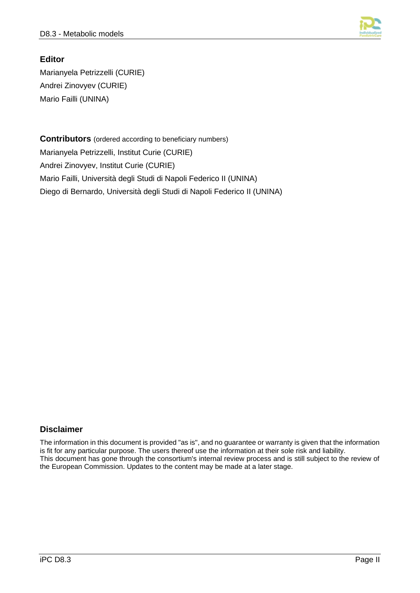

#### **Editor**

Marianyela Petrizzelli (CURIE) Andrei Zinovyev (CURIE) Mario Failli (UNINA)

**Contributors** (ordered according to beneficiary numbers) Marianyela Petrizzelli, Institut Curie (CURIE) Andrei Zinovyev, Institut Curie (CURIE) Mario Failli, Università degli Studi di Napoli Federico II (UNINA) Diego di Bernardo, Università degli Studi di Napoli Federico II (UNINA)

#### **Disclaimer**

The information in this document is provided "as is", and no guarantee or warranty is given that the information is fit for any particular purpose. The users thereof use the information at their sole risk and liability. This document has gone through the consortium's internal review process and is still subject to the review of the European Commission. Updates to the content may be made at a later stage.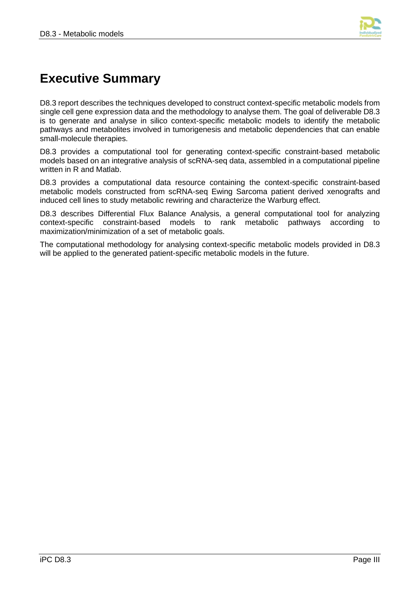

## **Executive Summary**

D8.3 report describes the techniques developed to construct context-specific metabolic models from single cell gene expression data and the methodology to analyse them. The goal of deliverable D8.3 is to generate and analyse in silico context-specific metabolic models to identify the metabolic pathways and metabolites involved in tumorigenesis and metabolic dependencies that can enable small-molecule therapies.

D8.3 provides a computational tool for generating context-specific constraint-based metabolic models based on an integrative analysis of scRNA-seq data, assembled in a computational pipeline written in R and Matlab.

D8.3 provides a computational data resource containing the context-specific constraint-based metabolic models constructed from scRNA-seq Ewing Sarcoma patient derived xenografts and induced cell lines to study metabolic rewiring and characterize the Warburg effect.

D8.3 describes Differential Flux Balance Analysis, a general computational tool for analyzing context-specific constraint-based models to rank metabolic pathways according to maximization/minimization of a set of metabolic goals.

The computational methodology for analysing context-specific metabolic models provided in D8.3 will be applied to the generated patient-specific metabolic models in the future.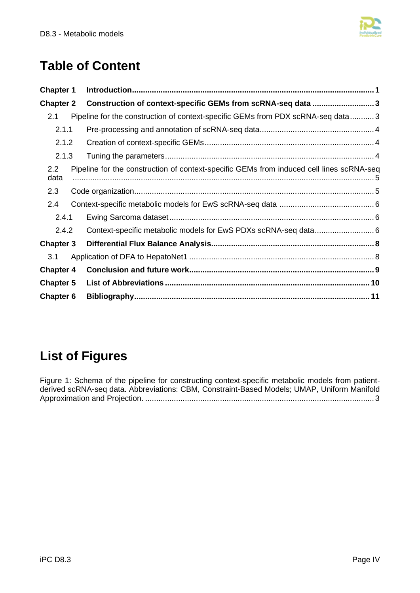

## **Table of Content**

| <b>Chapter 1</b> |                                                                                          |  |
|------------------|------------------------------------------------------------------------------------------|--|
| <b>Chapter 2</b> | Construction of context-specific GEMs from scRNA-seq data 3                              |  |
| 2.1              | Pipeline for the construction of context-specific GEMs from PDX scRNA-seq data3          |  |
| 2.1.1            |                                                                                          |  |
| 2.1.2            |                                                                                          |  |
| 2.1.3            |                                                                                          |  |
| 2.2<br>data      | Pipeline for the construction of context-specific GEMs from induced cell lines scRNA-seq |  |
| 2.3              |                                                                                          |  |
| 2.4              |                                                                                          |  |
| 2.4.1            |                                                                                          |  |
| 2.4.2            |                                                                                          |  |
| <b>Chapter 3</b> |                                                                                          |  |
| 3.1              |                                                                                          |  |
| <b>Chapter 4</b> |                                                                                          |  |
| <b>Chapter 5</b> |                                                                                          |  |
| Chapter 6        |                                                                                          |  |

## **List of Figures**

[Figure 1: Schema of the pipeline for constructing context-specific metabolic models from patient](#page-6-2)[derived scRNA-seq data. Abbreviations: CBM, Constraint-Based Models; UMAP, Uniform Manifold](#page-6-2)  Approximation and Projection. [........................................................................................................](#page-6-2) 3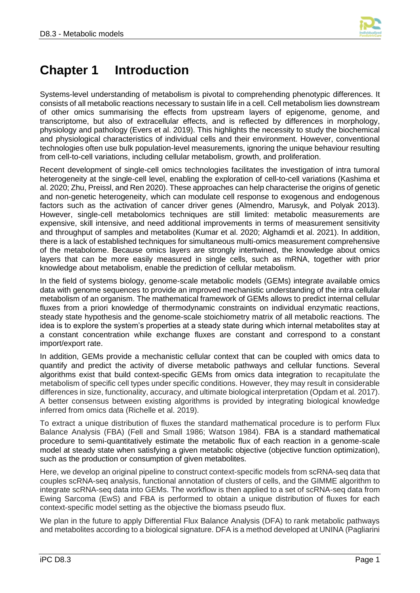

## <span id="page-4-0"></span>**Chapter 1 Introduction**

Systems-level understanding of metabolism is pivotal to comprehending phenotypic differences. It consists of all metabolic reactions necessary to sustain life in a cell. Cell metabolism lies downstream of other omics summarising the effects from upstream layers of epigenome, genome, and transcriptome, but also of extracellular effects, and is reflected by differences in morphology, physiology and pathology (Evers et al. 2019). This highlights the necessity to study the biochemical and physiological characteristics of individual cells and their environment. However, conventional technologies often use bulk population-level measurements, ignoring the unique behaviour resulting from cell-to-cell variations, including cellular metabolism, growth, and proliferation.

Recent development of single-cell omics technologies facilitates the investigation of intra tumoral heterogeneity at the single-cell level, enabling the exploration of cell-to-cell variations (Kashima et al. 2020; Zhu, Preissl, and Ren 2020). These approaches can help characterise the origins of genetic and non-genetic heterogeneity, which can modulate cell response to exogenous and endogenous factors such as the activation of cancer driver genes (Almendro, Marusyk, and Polyak 2013). However, single-cell metabolomics techniques are still limited: metabolic measurements are expensive, skill intensive, and need additional improvements in terms of measurement sensitivity and throughput of samples and metabolites (Kumar et al. 2020; Alghamdi et al. 2021). In addition, there is a lack of established techniques for simultaneous multi-omics measurement comprehensive of the metabolome. Because omics layers are strongly intertwined, the knowledge about omics layers that can be more easily measured in single cells, such as mRNA, together with prior knowledge about metabolism, enable the prediction of cellular metabolism.

In the field of systems biology, genome-scale metabolic models (GEMs) integrate available omics data with genome sequences to provide an improved mechanistic understanding of the intra cellular metabolism of an organism. The mathematical framework of GEMs allows to predict internal cellular fluxes from a priori knowledge of thermodynamic constraints on individual enzymatic reactions, steady state hypothesis and the genome-scale stoichiometry matrix of all metabolic reactions. The idea is to explore the system's properties at a steady state during which internal metabolites stay at a constant concentration while exchange fluxes are constant and correspond to a constant import/export rate.

In addition, GEMs provide a mechanistic cellular context that can be coupled with omics data to quantify and predict the activity of diverse metabolic pathways and cellular functions. Several algorithms exist that build context-specific GEMs from omics data integration to recapitulate the metabolism of specific cell types under specific conditions. However, they may result in considerable differences in size, functionality, accuracy, and ultimate biological interpretation (Opdam et al. 2017). A better consensus between existing algorithms is provided by integrating biological knowledge inferred from omics data (Richelle et al. 2019).

To extract a unique distribution of fluxes the standard mathematical procedure is to perform Flux Balance Analysis (FBA) (Fell and Small 1986; Watson 1984). FBA is a standard mathematical procedure to semi-quantitatively estimate the metabolic flux of each reaction in a genome-scale model at steady state when satisfying a given metabolic objective (objective function optimization), such as the production or consumption of given metabolites.

Here, we develop an original pipeline to construct context-specific models from scRNA-seq data that couples scRNA-seq analysis, functional annotation of clusters of cells, and the GIMME algorithm to integrate scRNA-seq data into GEMs. The workflow is then applied to a set of scRNA-seq data from Ewing Sarcoma (EwS) and FBA is performed to obtain a unique distribution of fluxes for each context-specific model setting as the objective the biomass pseudo flux.

We plan in the future to apply Differential Flux Balance Analysis (DFA) to rank metabolic pathways and metabolites according to a biological signature. DFA is a method developed at UNINA (Pagliarini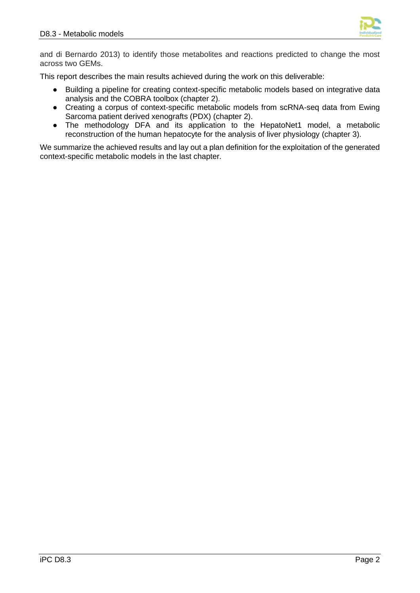

and di Bernardo 2013) to identify those metabolites and reactions predicted to change the most across two GEMs.

This report describes the main results achieved during the work on this deliverable:

- Building a pipeline for creating context-specific metabolic models based on integrative data analysis and the COBRA toolbox (chapter 2).
- Creating a corpus of context-specific metabolic models from scRNA-seq data from Ewing Sarcoma patient derived xenografts (PDX) (chapter 2).
- The methodology DFA and its application to the HepatoNet1 model, a metabolic reconstruction of the human hepatocyte for the analysis of liver physiology (chapter 3).

We summarize the achieved results and lay out a plan definition for the exploitation of the generated context-specific metabolic models in the last chapter.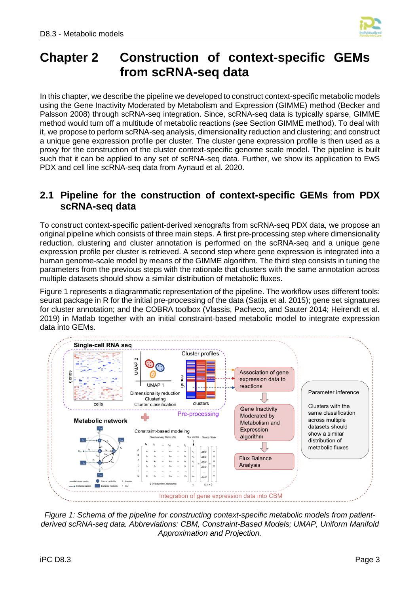

### <span id="page-6-0"></span>**Chapter 2 Construction of context-specific GEMs from scRNA-seq data**

In this chapter, we describe the pipeline we developed to construct context-specific metabolic models using the Gene Inactivity Moderated by Metabolism and Expression (GIMME) method (Becker and Palsson 2008) through scRNA-seq integration. Since, scRNA-seq data is typically sparse, GIMME method would turn off a multitude of metabolic reactions (see Section GIMME method). To deal with it, we propose to perform scRNA-seq analysis, dimensionality reduction and clustering; and construct a unique gene expression profile per cluster. The cluster gene expression profile is then used as a proxy for the construction of the cluster context-specific genome scale model. The pipeline is built such that it can be applied to any set of scRNA-seq data. Further, we show its application to EwS PDX and cell line scRNA-seq data from Aynaud et al. 2020.

### <span id="page-6-1"></span>**2.1 Pipeline for the construction of context-specific GEMs from PDX scRNA-seq data**

To construct context-specific patient-derived xenografts from scRNA-seq PDX data, we propose an original pipeline which consists of three main steps. A first pre-processing step where dimensionality reduction, clustering and cluster annotation is performed on the scRNA-seq and a unique gene expression profile per cluster is retrieved. A second step where gene expression is integrated into a human genome-scale model by means of the GIMME algorithm. The third step consists in tuning the parameters from the previous steps with the rationale that clusters with the same annotation across multiple datasets should show a similar distribution of metabolic fluxes.

Figure 1 represents a diagrammatic representation of the pipeline. The workflow uses different tools: seurat package in R for the initial pre-processing of the data (Satija et al. 2015); gene set signatures for cluster annotation; and the COBRA toolbox (Vlassis, Pacheco, and Sauter 2014; Heirendt et al. 2019) in Matlab together with an initial constraint-based metabolic model to integrate expression data into GEMs.



<span id="page-6-2"></span>*Figure 1: Schema of the pipeline for constructing context-specific metabolic models from patientderived scRNA-seq data. Abbreviations: CBM, Constraint-Based Models; UMAP, Uniform Manifold Approximation and Projection.*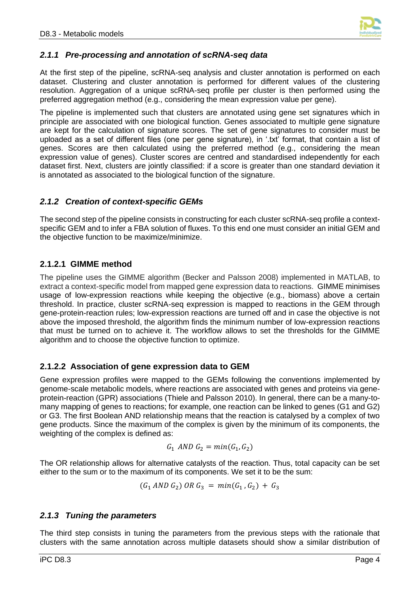

#### <span id="page-7-0"></span>*2.1.1 Pre-processing and annotation of scRNA-seq data*

At the first step of the pipeline, scRNA-seq analysis and cluster annotation is performed on each dataset. Clustering and cluster annotation is performed for different values of the clustering resolution. Aggregation of a unique scRNA-seq profile per cluster is then performed using the preferred aggregation method (e.g., considering the mean expression value per gene).

The pipeline is implemented such that clusters are annotated using gene set signatures which in principle are associated with one biological function. Genes associated to multiple gene signature are kept for the calculation of signature scores. The set of gene signatures to consider must be uploaded as a set of different files (one per gene signature), in '.txt' format, that contain a list of genes. Scores are then calculated using the preferred method (e.g., considering the mean expression value of genes). Cluster scores are centred and standardised independently for each dataset first. Next, clusters are jointly classified: if a score is greater than one standard deviation it is annotated as associated to the biological function of the signature.

#### <span id="page-7-1"></span>*2.1.2 Creation of context-specific GEMs*

The second step of the pipeline consists in constructing for each cluster scRNA-seq profile a contextspecific GEM and to infer a FBA solution of fluxes. To this end one must consider an initial GEM and the objective function to be maximize/minimize.

#### **2.1.2.1 GIMME method**

The pipeline uses the GIMME algorithm (Becker and Palsson 2008) implemented in MATLAB, to extract a context-specific model from mapped gene expression data to reactions. GIMME minimises usage of low-expression reactions while keeping the objective (e.g., biomass) above a certain threshold. In practice, cluster scRNA-seq expression is mapped to reactions in the GEM through gene-protein-reaction rules; low-expression reactions are turned off and in case the objective is not above the imposed threshold, the algorithm finds the minimum number of low-expression reactions that must be turned on to achieve it. The workflow allows to set the thresholds for the GIMME algorithm and to choose the objective function to optimize.

#### **2.1.2.2 Association of gene expression data to GEM**

Gene expression profiles were mapped to the GEMs following the conventions implemented by genome-scale metabolic models, where reactions are associated with genes and proteins via geneprotein-reaction (GPR) associations (Thiele and Palsson 2010). In general, there can be a many-tomany mapping of genes to reactions; for example, one reaction can be linked to genes (G1 and G2) or G3. The first Boolean AND relationship means that the reaction is catalysed by a complex of two gene products. Since the maximum of the complex is given by the minimum of its components, the weighting of the complex is defined as:

$$
G_1 \text{ AND } G_2 = \min(G_1, G_2)
$$

The OR relationship allows for alternative catalysts of the reaction. Thus, total capacity can be set either to the sum or to the maximum of its components. We set it to be the sum:

$$
(G_1 \,AND \,G_2) \,OR \,G_3 \,=\, min(G_1\,,G_2) \,+\,G_3
$$

#### <span id="page-7-2"></span>*2.1.3 Tuning the parameters*

The third step consists in tuning the parameters from the previous steps with the rationale that clusters with the same annotation across multiple datasets should show a similar distribution of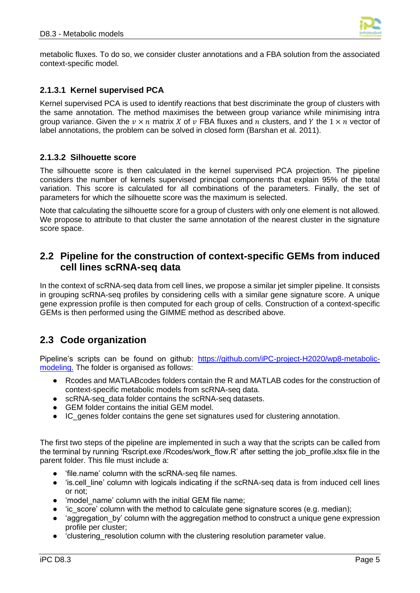

metabolic fluxes. To do so, we consider cluster annotations and a FBA solution from the associated context-specific model.

#### **2.1.3.1 Kernel supervised PCA**

Kernel supervised PCA is used to identify reactions that best discriminate the group of clusters with the same annotation. The method maximises the between group variance while minimising intra group variance. Given the  $v \times n$  matrix X of  $v$  FBA fluxes and  $n$  clusters, and Y the  $1 \times n$  vector of label annotations, the problem can be solved in closed form (Barshan et al. 2011).

#### **2.1.3.2 Silhouette score**

The silhouette score is then calculated in the kernel supervised PCA projection. The pipeline considers the number of kernels supervised principal components that explain 95% of the total variation. This score is calculated for all combinations of the parameters. Finally, the set of parameters for which the silhouette score was the maximum is selected.

Note that calculating the silhouette score for a group of clusters with only one element is not allowed. We propose to attribute to that cluster the same annotation of the nearest cluster in the signature score space.

### <span id="page-8-0"></span>**2.2 Pipeline for the construction of context-specific GEMs from induced cell lines scRNA-seq data**

In the context of scRNA-seq data from cell lines, we propose a similar jet simpler pipeline. It consists in grouping scRNA-seq profiles by considering cells with a similar gene signature score. A unique gene expression profile is then computed for each group of cells. Construction of a context-specific GEMs is then performed using the GIMME method as described above.

### <span id="page-8-1"></span>**2.3 Code organization**

Pipeline's scripts can be found on github: [https://github.com/iPC-project-H2020/wp8-metabolic](https://github.com/iPC-project-H2020/wp8-metabolic-modeling)[modeling.](https://github.com/iPC-project-H2020/wp8-metabolic-modeling) The folder is organised as follows:

- Rcodes and MATLABcodes folders contain the R and MATLAB codes for the construction of context-specific metabolic models from scRNA-seq data.
- scRNA-seq data folder contains the scRNA-seq datasets.
- GEM folder contains the initial GEM model.
- IC\_genes folder contains the gene set signatures used for clustering annotation.

The first two steps of the pipeline are implemented in such a way that the scripts can be called from the terminal by running 'Rscript.exe /Rcodes/work\_flow.R' after setting the job\_profile.xlsx file in the parent folder. This file must include a:

- 'file.name' column with the scRNA-seq file names.
- 'is.cell line' column with logicals indicating if the scRNA-seq data is from induced cell lines or not;
- 'model name' column with the initial GEM file name:
- 'ic\_score' column with the method to calculate gene signature scores (e.g. median);
- 'aggregation by' column with the aggregation method to construct a unique gene expression profile per cluster;
- 'clustering resolution column with the clustering resolution parameter value.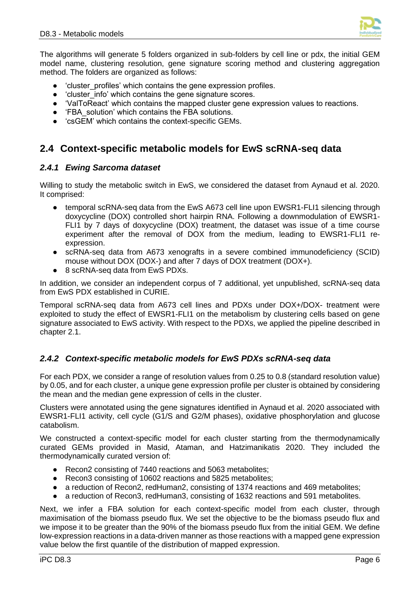

The algorithms will generate 5 folders organized in sub-folders by cell line or pdx, the initial GEM model name, clustering resolution, gene signature scoring method and clustering aggregation method. The folders are organized as follows:

- 'cluster\_profiles' which contains the gene expression profiles.
- 'cluster info' which contains the gene signature scores.
- 'ValToReact' which contains the mapped cluster gene expression values to reactions.
- 'FBA\_solution' which contains the FBA solutions.
- 'csGEM' which contains the context-specific GEMs.

### <span id="page-9-0"></span>**2.4 Context-specific metabolic models for EwS scRNA-seq data**

#### <span id="page-9-1"></span>*2.4.1 Ewing Sarcoma dataset*

Willing to study the metabolic switch in EwS, we considered the dataset from Aynaud et al. 2020. It comprised:

- temporal scRNA-seg data from the EwS A673 cell line upon EWSR1-FLI1 silencing through doxycycline (DOX) controlled short hairpin RNA. Following a downmodulation of EWSR1- FLI1 by 7 days of doxycycline (DOX) treatment, the dataset was issue of a time course experiment after the removal of DOX from the medium, leading to EWSR1-FLI1 reexpression.
- scRNA-seq data from A673 xenografts in a severe combined immunodeficiency (SCID) mouse without DOX (DOX-) and after 7 days of DOX treatment (DOX+).
- 8 scRNA-seq data from EwS PDXs.

In addition, we consider an independent corpus of 7 additional, yet unpublished, scRNA-seq data from EwS PDX established in CURIE.

Temporal scRNA-seq data from A673 cell lines and PDXs under DOX+/DOX- treatment were exploited to study the effect of EWSR1-FLI1 on the metabolism by clustering cells based on gene signature associated to EwS activity. With respect to the PDXs, we applied the pipeline described in chapter 2.1.

#### <span id="page-9-2"></span>*2.4.2 Context-specific metabolic models for EwS PDXs scRNA-seq data*

For each PDX, we consider a range of resolution values from 0.25 to 0.8 (standard resolution value) by 0.05, and for each cluster, a unique gene expression profile per cluster is obtained by considering the mean and the median gene expression of cells in the cluster.

Clusters were annotated using the gene signatures identified in Aynaud et al. 2020 associated with EWSR1-FLI1 activity, cell cycle (G1/S and G2/M phases), oxidative phosphorylation and glucose catabolism.

We constructed a context-specific model for each cluster starting from the thermodynamically curated GEMs provided in Masid, Ataman, and Hatzimanikatis 2020. They included the thermodynamically curated version of:

- Recon2 consisting of 7440 reactions and 5063 metabolites;
- Recon3 consisting of 10602 reactions and 5825 metabolites;
- a reduction of Recon2, redHuman2, consisting of 1374 reactions and 469 metabolites;
- a reduction of Recon3, redHuman3, consisting of 1632 reactions and 591 metabolites.

Next, we infer a FBA solution for each context-specific model from each cluster, through maximisation of the biomass pseudo flux. We set the objective to be the biomass pseudo flux and we impose it to be greater than the 90% of the biomass pseudo flux from the initial GEM. We define low-expression reactions in a data-driven manner as those reactions with a mapped gene expression value below the first quantile of the distribution of mapped expression.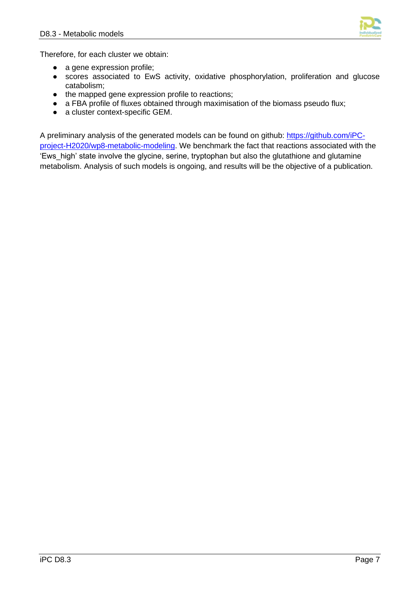

Therefore, for each cluster we obtain:

- a gene expression profile;
- scores associated to EwS activity, oxidative phosphorylation, proliferation and glucose catabolism;
- the mapped gene expression profile to reactions;
- a FBA profile of fluxes obtained through maximisation of the biomass pseudo flux;
- a cluster context-specific GEM.

A preliminary analysis of the generated models can be found on github: [https://github.com/iPC](https://github.com/iPC-project-H2020/wp8-metabolic-modeling)[project-H2020/wp8-metabolic-modeling.](https://github.com/iPC-project-H2020/wp8-metabolic-modeling) We benchmark the fact that reactions associated with the 'Ews\_high' state involve the glycine, serine, tryptophan but also the glutathione and glutamine metabolism. Analysis of such models is ongoing, and results will be the objective of a publication.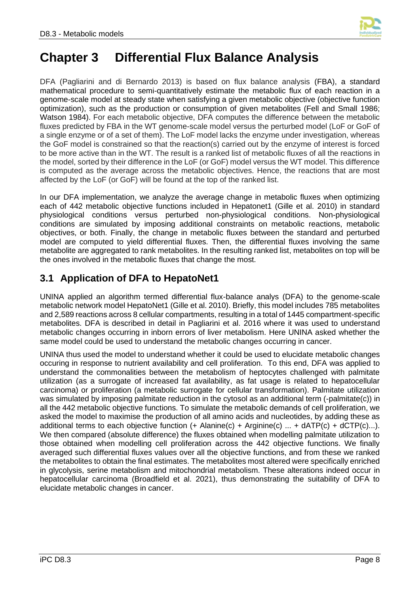

### <span id="page-11-0"></span>**Chapter 3 Differential Flux Balance Analysis**

DFA (Pagliarini and di Bernardo 2013) is based on flux balance analysis (FBA), a standard mathematical procedure to semi-quantitatively estimate the metabolic flux of each reaction in a genome-scale model at steady state when satisfying a given metabolic objective (objective function optimization), such as the production or consumption of given metabolites (Fell and Small 1986; Watson 1984). For each metabolic objective, DFA computes the difference between the metabolic fluxes predicted by FBA in the WT genome-scale model versus the perturbed model (LoF or GoF of a single enzyme or of a set of them). The LoF model lacks the enzyme under investigation, whereas the GoF model is constrained so that the reaction(s) carried out by the enzyme of interest is forced to be more active than in the WT. The result is a ranked list of metabolic fluxes of all the reactions in the model, sorted by their difference in the LoF (or GoF) model versus the WT model. This difference is computed as the average across the metabolic objectives. Hence, the reactions that are most affected by the LoF (or GoF) will be found at the top of the ranked list.

In our DFA implementation, we analyze the average change in metabolic fluxes when optimizing each of 442 metabolic objective functions included in Hepatonet1 (Gille et al. 2010) in standard physiological conditions versus perturbed non-physiological conditions. Non-physiological conditions are simulated by imposing additional constraints on metabolic reactions, metabolic objectives, or both. Finally, the change in metabolic fluxes between the standard and perturbed model are computed to yield differential fluxes. Then, the differential fluxes involving the same metabolite are aggregated to rank metabolites. In the resulting ranked list, metabolites on top will be the ones involved in the metabolic fluxes that change the most.

### <span id="page-11-1"></span>**3.1 Application of DFA to HepatoNet1**

UNINA applied an algorithm termed differential flux-balance analys (DFA) to the genome-scale metabolic network model HepatoNet1 (Gille et al. 2010). Briefly, this model includes 785 metabolites and 2,589 reactions across 8 cellular compartments, resulting in a total of 1445 compartment-specific metabolites. DFA is described in detail in Pagliarini et al. 2016 where it was used to understand metabolic changes occurring in inborn errors of liver metabolism. Here UNINA asked whether the same model could be used to understand the metabolic changes occurring in cancer.

UNINA thus used the model to understand whether it could be used to elucidate metabolic changes occuring in response to nutrient availability and cell proliferation. To this end, DFA was applied to understand the commonalities between the metabolism of heptocytes challenged with palmitate utilization (as a surrogate of increased fat availability, as fat usage is related to hepatocellular carcinoma) or proliferation (a metabolic surrogate for cellular transformation). Palmitate utilization was simulated by imposing palmitate reduction in the cytosol as an additional term (-palmitate(c)) in all the 442 metabolic objective functions. To simulate the metabolic demands of cell proliferation, we asked the model to maximise the production of all amino acids and nucleotides, by adding these as additional terms to each objective function  $(+)$  Alanine(c) + Arginine(c) ... + dATP(c) + dCTP(c)...). We then compared (absolute difference) the fluxes obtained when modelling palmitate utilization to those obtained when modelling cell proliferation across the 442 objective functions. We finally averaged such differential fluxes values over all the objective functions, and from these we ranked the metabolites to obtain the final estimates. The metabolites most altered were specifically enriched in glycolysis, serine metabolism and mitochondrial metabolism. These alterations indeed occur in hepatocellular carcinoma (Broadfield et al. 2021), thus demonstrating the suitability of DFA to elucidate metabolic changes in cancer.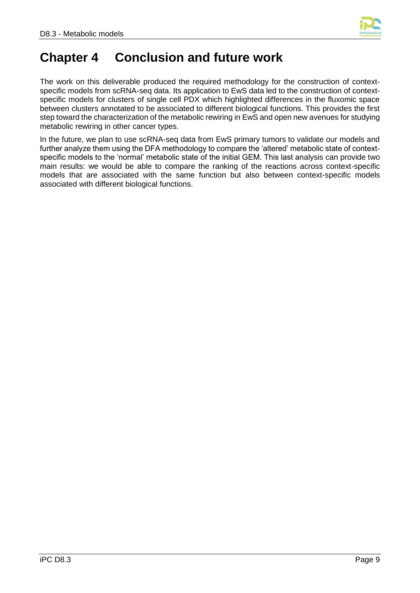

### <span id="page-12-0"></span>**Chapter 4 Conclusion and future work**

The work on this deliverable produced the required methodology for the construction of contextspecific models from scRNA-seq data. Its application to EwS data led to the construction of contextspecific models for clusters of single cell PDX which highlighted differences in the fluxomic space between clusters annotated to be associated to different biological functions. This provides the first step toward the characterization of the metabolic rewiring in EwS and open new avenues for studying metabolic rewiring in other cancer types.

In the future, we plan to use scRNA-seq data from EwS primary tumors to validate our models and further analyze them using the DFA methodology to compare the 'altered' metabolic state of contextspecific models to the 'normal' metabolic state of the initial GEM. This last analysis can provide two main results: we would be able to compare the ranking of the reactions across context-specific models that are associated with the same function but also between context-specific models associated with different biological functions.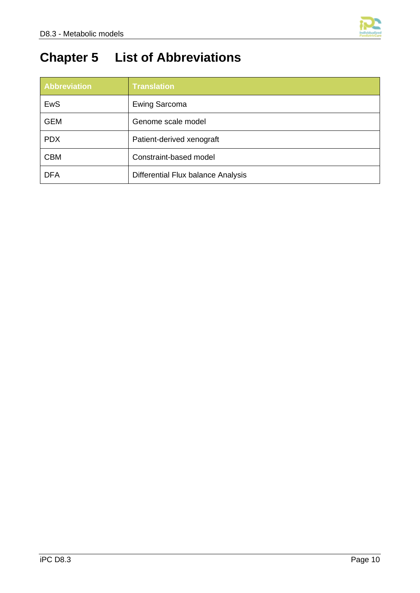

## <span id="page-13-0"></span>**Chapter 5 List of Abbreviations**

| <b>Abbreviation</b> | <b>Translation</b>                 |
|---------------------|------------------------------------|
| EwS                 | <b>Ewing Sarcoma</b>               |
| <b>GEM</b>          | Genome scale model                 |
| <b>PDX</b>          | Patient-derived xenograft          |
| <b>CBM</b>          | Constraint-based model             |
| <b>DFA</b>          | Differential Flux balance Analysis |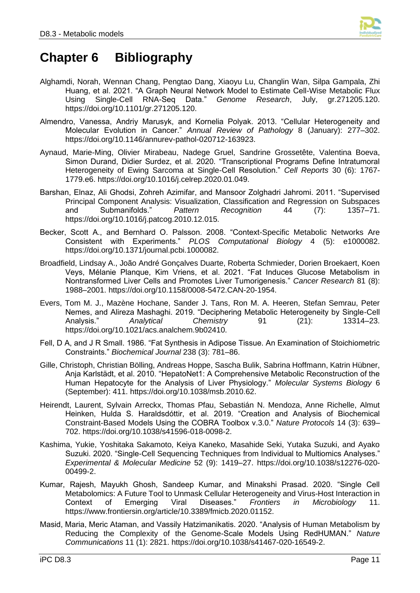

### <span id="page-14-0"></span>**Chapter 6 Bibliography**

- Alghamdi, Norah, Wennan Chang, Pengtao Dang, Xiaoyu Lu, Changlin Wan, Silpa Gampala, Zhi Huang, et al. 2021. "A Graph Neural Network Model to Estimate Cell-Wise Metabolic Flux Using Single-Cell RNA-Seq Data." *Genome Research*, July, gr.271205.120. https://doi.org/10.1101/gr.271205.120.
- Almendro, Vanessa, Andriy Marusyk, and Kornelia Polyak. 2013. "Cellular Heterogeneity and Molecular Evolution in Cancer." *Annual Review of Pathology* 8 (January): 277–302. https://doi.org/10.1146/annurev-pathol-020712-163923.
- Aynaud, Marie-Ming, Olivier Mirabeau, Nadege Gruel, Sandrine Grossetête, Valentina Boeva, Simon Durand, Didier Surdez, et al. 2020. "Transcriptional Programs Define Intratumoral Heterogeneity of Ewing Sarcoma at Single-Cell Resolution." *Cell Reports* 30 (6): 1767- 1779.e6. https://doi.org/10.1016/j.celrep.2020.01.049.
- Barshan, Elnaz, Ali Ghodsi, Zohreh Azimifar, and Mansoor Zolghadri Jahromi. 2011. "Supervised Principal Component Analysis: Visualization, Classification and Regression on Subspaces and Submanifolds." *Pattern Recognition* 44 (7): 1357–71. https://doi.org/10.1016/j.patcog.2010.12.015.
- Becker, Scott A., and Bernhard O. Palsson. 2008. "Context-Specific Metabolic Networks Are Consistent with Experiments." *PLOS Computational Biology* 4 (5): e1000082. https://doi.org/10.1371/journal.pcbi.1000082.
- Broadfield, Lindsay A., João André Gonçalves Duarte, Roberta Schmieder, Dorien Broekaert, Koen Veys, Mélanie Planque, Kim Vriens, et al. 2021. "Fat Induces Glucose Metabolism in Nontransformed Liver Cells and Promotes Liver Tumorigenesis." *Cancer Research* 81 (8): 1988–2001. https://doi.org/10.1158/0008-5472.CAN-20-1954.
- Evers, Tom M. J., Mazène Hochane, Sander J. Tans, Ron M. A. Heeren, Stefan Semrau, Peter Nemes, and Alireza Mashaghi. 2019. "Deciphering Metabolic Heterogeneity by Single-Cell Analysis." *Analytical Chemistry* 91 (21): 13314–23. https://doi.org/10.1021/acs.analchem.9b02410.
- Fell, D A, and J R Small. 1986. "Fat Synthesis in Adipose Tissue. An Examination of Stoichiometric Constraints." *Biochemical Journal* 238 (3): 781–86.
- Gille, Christoph, Christian Bölling, Andreas Hoppe, Sascha Bulik, Sabrina Hoffmann, Katrin Hübner, Anja Karlstädt, et al. 2010. "HepatoNet1: A Comprehensive Metabolic Reconstruction of the Human Hepatocyte for the Analysis of Liver Physiology." *Molecular Systems Biology* 6 (September): 411. https://doi.org/10.1038/msb.2010.62.
- Heirendt, Laurent, Sylvain Arreckx, Thomas Pfau, Sebastián N. Mendoza, Anne Richelle, Almut Heinken, Hulda S. Haraldsdóttir, et al. 2019. "Creation and Analysis of Biochemical Constraint-Based Models Using the COBRA Toolbox v.3.0." *Nature Protocols* 14 (3): 639– 702. https://doi.org/10.1038/s41596-018-0098-2.
- Kashima, Yukie, Yoshitaka Sakamoto, Keiya Kaneko, Masahide Seki, Yutaka Suzuki, and Ayako Suzuki. 2020. "Single-Cell Sequencing Techniques from Individual to Multiomics Analyses." *Experimental & Molecular Medicine* 52 (9): 1419–27. https://doi.org/10.1038/s12276-020- 00499-2.
- Kumar, Rajesh, Mayukh Ghosh, Sandeep Kumar, and Minakshi Prasad. 2020. "Single Cell Metabolomics: A Future Tool to Unmask Cellular Heterogeneity and Virus-Host Interaction in Context of Emerging Viral Diseases." *Frontiers in Microbiology* 11. https://www.frontiersin.org/article/10.3389/fmicb.2020.01152.
- Masid, Maria, Meric Ataman, and Vassily Hatzimanikatis. 2020. "Analysis of Human Metabolism by Reducing the Complexity of the Genome-Scale Models Using RedHUMAN." *Nature Communications* 11 (1): 2821. https://doi.org/10.1038/s41467-020-16549-2.